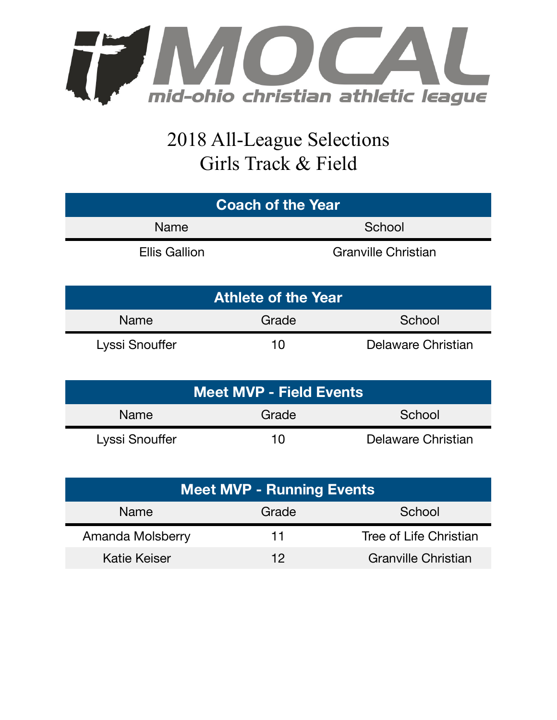

## 2018 All-League Selections Girls Track & Field

| <b>Coach of the Year</b> |                            |  |  |
|--------------------------|----------------------------|--|--|
| <b>Name</b>              | School                     |  |  |
| <b>Ellis Gallion</b>     | <b>Granville Christian</b> |  |  |

| <b>Athlete of the Year</b> |       |                    |  |  |
|----------------------------|-------|--------------------|--|--|
| <b>Name</b>                | Grade | School             |  |  |
| Lyssi Snouffer             | 10    | Delaware Christian |  |  |

| <b>Meet MVP - Field Events</b> |       |                    |  |  |
|--------------------------------|-------|--------------------|--|--|
| <b>Name</b>                    | Grade | School             |  |  |
| Lyssi Snouffer                 | 10    | Delaware Christian |  |  |

| <b>Meet MVP - Running Events</b> |       |                            |  |
|----------------------------------|-------|----------------------------|--|
| Name                             | Grade | School                     |  |
| Amanda Molsberry                 | 11    | Tree of Life Christian     |  |
| Katie Keiser                     | 12    | <b>Granville Christian</b> |  |